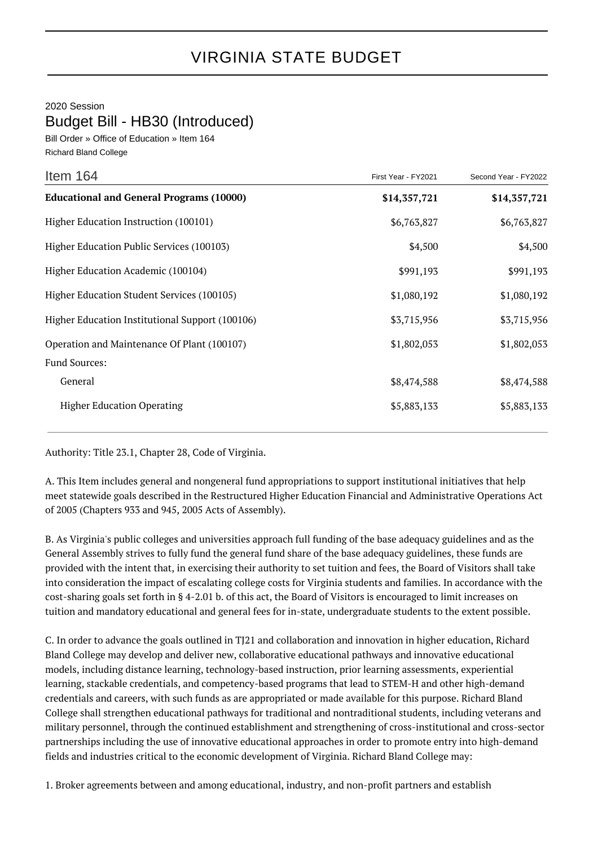## VIRGINIA STATE BUDGET

2020 Session

## Budget Bill - HB30 (Introduced)

Bill Order » Office of Education » Item 164 Richard Bland College

| Item 164                                        | First Year - FY2021 | Second Year - FY2022 |
|-------------------------------------------------|---------------------|----------------------|
| <b>Educational and General Programs (10000)</b> | \$14,357,721        | \$14,357,721         |
| Higher Education Instruction (100101)           | \$6,763,827         | \$6,763,827          |
| Higher Education Public Services (100103)       | \$4,500             | \$4,500              |
| Higher Education Academic (100104)              | \$991,193           | \$991,193            |
| Higher Education Student Services (100105)      | \$1,080,192         | \$1,080,192          |
| Higher Education Institutional Support (100106) | \$3,715,956         | \$3,715,956          |
| Operation and Maintenance Of Plant (100107)     | \$1,802,053         | \$1,802,053          |
| Fund Sources:                                   |                     |                      |
| General                                         | \$8,474,588         | \$8,474,588          |
| <b>Higher Education Operating</b>               | \$5,883,133         | \$5,883,133          |

Authority: Title 23.1, Chapter 28, Code of Virginia.

A. This Item includes general and nongeneral fund appropriations to support institutional initiatives that help meet statewide goals described in the Restructured Higher Education Financial and Administrative Operations Act of 2005 (Chapters 933 and 945, 2005 Acts of Assembly).

B. As Virginia's public colleges and universities approach full funding of the base adequacy guidelines and as the General Assembly strives to fully fund the general fund share of the base adequacy guidelines, these funds are provided with the intent that, in exercising their authority to set tuition and fees, the Board of Visitors shall take into consideration the impact of escalating college costs for Virginia students and families. In accordance with the cost-sharing goals set forth in § 4-2.01 b. of this act, the Board of Visitors is encouraged to limit increases on tuition and mandatory educational and general fees for in-state, undergraduate students to the extent possible.

C. In order to advance the goals outlined in TJ21 and collaboration and innovation in higher education, Richard Bland College may develop and deliver new, collaborative educational pathways and innovative educational models, including distance learning, technology-based instruction, prior learning assessments, experiential learning, stackable credentials, and competency-based programs that lead to STEM-H and other high-demand credentials and careers, with such funds as are appropriated or made available for this purpose. Richard Bland College shall strengthen educational pathways for traditional and nontraditional students, including veterans and military personnel, through the continued establishment and strengthening of cross-institutional and cross-sector partnerships including the use of innovative educational approaches in order to promote entry into high-demand fields and industries critical to the economic development of Virginia. Richard Bland College may:

1. Broker agreements between and among educational, industry, and non-profit partners and establish